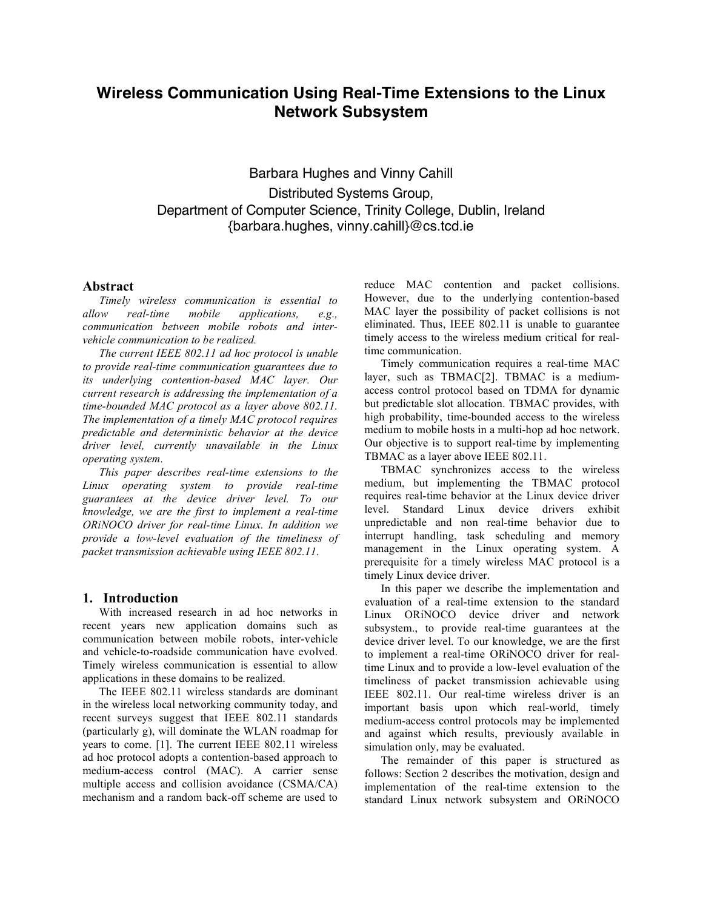# **Wireless Communication Using Real-Time Extensions to the Linux Network Subsystem**

Barbara Hughes and Vinny Cahill Distributed Systems Group, Department of Computer Science, Trinity College, Dublin, Ireland {barbara.hughes, vinny.cahill}@cs.tcd.ie

## **Abstract**

*Timely wireless communication is essential to allow real-time mobile applications, e.g., communication between mobile robots and intervehicle communication to be realized.*

*The current IEEE 802.11 ad hoc protocol is unable to provide real-time communication guarantees due to its underlying contention-based MAC layer. Our current research is addressing the implementation of a time-bounded MAC protocol as a layer above 802.11. The implementation of a timely MAC protocol requires predictable and deterministic behavior at the device driver level, currently unavailable in the Linux operating system.*

*This paper describes real-time extensions to the Linux operating system to provide real-time guarantees at the device driver level. To our knowledge, we are the first to implement a real-time ORiNOCO driver for real-time Linux. In addition we provide a low-level evaluation of the timeliness of packet transmission achievable using IEEE 802.11.*

#### **1. Introduction**

With increased research in ad hoc networks in recent years new application domains such as communication between mobile robots, inter-vehicle and vehicle-to-roadside communication have evolved. Timely wireless communication is essential to allow applications in these domains to be realized.

The IEEE 802.11 wireless standards are dominant in the wireless local networking community today, and recent surveys suggest that IEEE 802.11 standards (particularly g), will dominate the WLAN roadmap for years to come. [1]. The current IEEE 802.11 wireless ad hoc protocol adopts a contention-based approach to medium-access control (MAC). A carrier sense multiple access and collision avoidance (CSMA/CA) mechanism and a random back-off scheme are used to

reduce MAC contention and packet collisions. However, due to the underlying contention-based MAC layer the possibility of packet collisions is not eliminated. Thus, IEEE 802.11 is unable to guarantee timely access to the wireless medium critical for realtime communication.

Timely communication requires a real-time MAC layer, such as TBMAC[2]. TBMAC is a mediumaccess control protocol based on TDMA for dynamic but predictable slot allocation. TBMAC provides, with high probability, time-bounded access to the wireless medium to mobile hosts in a multi-hop ad hoc network. Our objective is to support real-time by implementing TBMAC as a layer above IEEE 802.11.

TBMAC synchronizes access to the wireless medium, but implementing the TBMAC protocol requires real-time behavior at the Linux device driver level. Standard Linux device drivers exhibit unpredictable and non real-time behavior due to interrupt handling, task scheduling and memory management in the Linux operating system. A prerequisite for a timely wireless MAC protocol is a timely Linux device driver.

In this paper we describe the implementation and evaluation of a real-time extension to the standard Linux ORiNOCO device driver and network subsystem., to provide real-time guarantees at the device driver level. To our knowledge, we are the first to implement a real-time ORiNOCO driver for realtime Linux and to provide a low-level evaluation of the timeliness of packet transmission achievable using IEEE 802.11. Our real-time wireless driver is an important basis upon which real-world, timely medium-access control protocols may be implemented and against which results, previously available in simulation only, may be evaluated.

The remainder of this paper is structured as follows: Section 2 describes the motivation, design and implementation of the real-time extension to the standard Linux network subsystem and ORiNOCO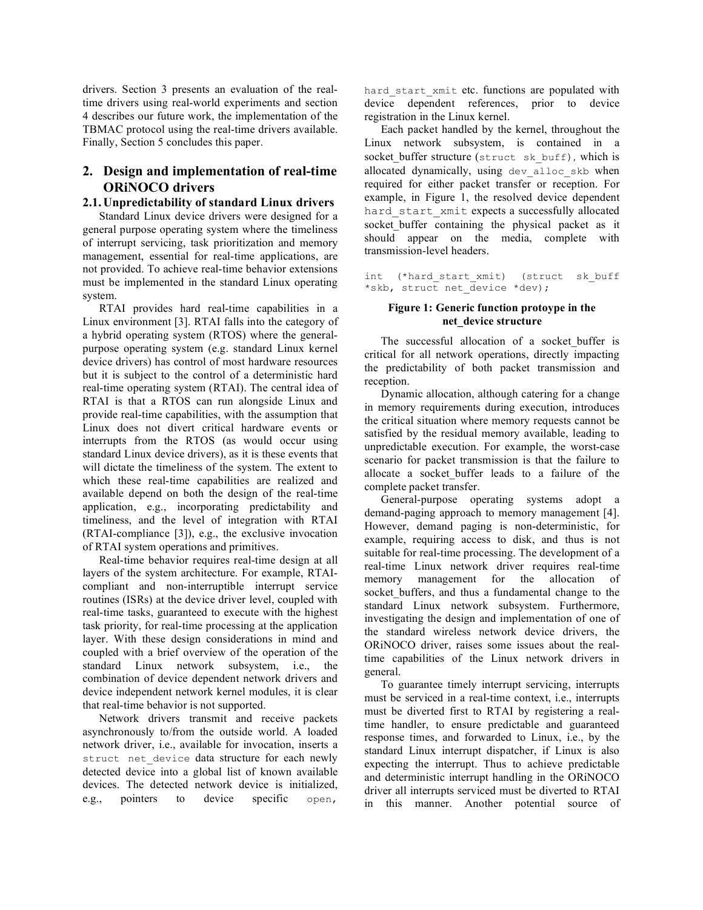drivers. Section 3 presents an evaluation of the realtime drivers using real-world experiments and section 4 describes our future work, the implementation of the TBMAC protocol using the real-time drivers available. Finally, Section 5 concludes this paper.

## **2. Design and implementation of real-time ORiNOCO drivers**

## **2.1. Unpredictability of standard Linux drivers**

Standard Linux device drivers were designed for a general purpose operating system where the timeliness of interrupt servicing, task prioritization and memory management, essential for real-time applications, are not provided. To achieve real-time behavior extensions must be implemented in the standard Linux operating system.

RTAI provides hard real-time capabilities in a Linux environment [3]. RTAI falls into the category of a hybrid operating system (RTOS) where the generalpurpose operating system (e.g. standard Linux kernel device drivers) has control of most hardware resources but it is subject to the control of a deterministic hard real-time operating system (RTAI). The central idea of RTAI is that a RTOS can run alongside Linux and provide real-time capabilities, with the assumption that Linux does not divert critical hardware events or interrupts from the RTOS (as would occur using standard Linux device drivers), as it is these events that will dictate the timeliness of the system. The extent to which these real-time capabilities are realized and available depend on both the design of the real-time application, e.g., incorporating predictability and timeliness, and the level of integration with RTAI (RTAI-compliance [3]), e.g., the exclusive invocation of RTAI system operations and primitives.

Real-time behavior requires real-time design at all layers of the system architecture. For example, RTAIcompliant and non-interruptible interrupt service routines (ISRs) at the device driver level, coupled with real-time tasks, guaranteed to execute with the highest task priority, for real-time processing at the application layer. With these design considerations in mind and coupled with a brief overview of the operation of the standard Linux network subsystem, i.e., the combination of device dependent network drivers and device independent network kernel modules, it is clear that real-time behavior is not supported.

Network drivers transmit and receive packets asynchronously to/from the outside world. A loaded network driver, i.e., available for invocation, inserts a struct net device data structure for each newly detected device into a global list of known available devices. The detected network device is initialized, e.g., pointers to device specific open,

hard start xmit etc. functions are populated with device dependent references, prior to device registration in the Linux kernel.

Each packet handled by the kernel, throughout the Linux network subsystem, is contained in a socket buffer structure (struct sk buff), which is allocated dynamically, using dev alloc skb when required for either packet transfer or reception. For example, in Figure 1, the resolved device dependent hard start xmit expects a successfully allocated socket buffer containing the physical packet as it should appear on the media, complete with transmission-level headers.

int (\*hard\_start\_xmit) (struct sk\_buff \*skb, struct net\_device \*dev);

## **Figure 1: Generic function protoype in the net\_device structure**

The successful allocation of a socket buffer is critical for all network operations, directly impacting the predictability of both packet transmission and reception.

Dynamic allocation, although catering for a change in memory requirements during execution, introduces the critical situation where memory requests cannot be satisfied by the residual memory available, leading to unpredictable execution. For example, the worst-case scenario for packet transmission is that the failure to allocate a socket buffer leads to a failure of the complete packet transfer.

General-purpose operating systems adopt a demand-paging approach to memory management [4]. However, demand paging is non-deterministic, for example, requiring access to disk, and thus is not suitable for real-time processing. The development of a real-time Linux network driver requires real-time memory management for the allocation of socket buffers, and thus a fundamental change to the standard Linux network subsystem. Furthermore, investigating the design and implementation of one of the standard wireless network device drivers, the ORiNOCO driver, raises some issues about the realtime capabilities of the Linux network drivers in general.

To guarantee timely interrupt servicing, interrupts must be serviced in a real-time context, i.e., interrupts must be diverted first to RTAI by registering a realtime handler, to ensure predictable and guaranteed response times, and forwarded to Linux, i.e., by the standard Linux interrupt dispatcher, if Linux is also expecting the interrupt. Thus to achieve predictable and deterministic interrupt handling in the ORiNOCO driver all interrupts serviced must be diverted to RTAI in this manner. Another potential source of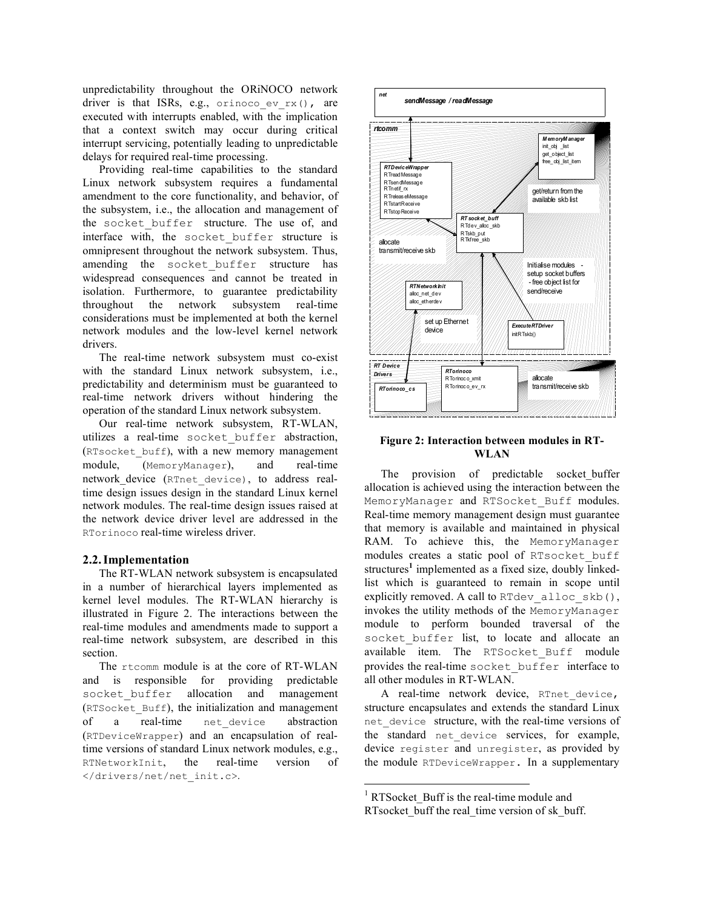unpredictability throughout the ORiNOCO network driver is that ISRs, e.g., orinoco ev $rx()$ , are executed with interrupts enabled, with the implication that a context switch may occur during critical interrupt servicing, potentially leading to unpredictable delays for required real-time processing.

Providing real-time capabilities to the standard Linux network subsystem requires a fundamental amendment to the core functionality, and behavior, of the subsystem, i.e., the allocation and management of the socket buffer structure. The use of, and interface with, the socket\_buffer structure is omnipresent throughout the network subsystem. Thus, amending the socket buffer structure has widespread consequences and cannot be treated in isolation. Furthermore, to guarantee predictability throughout the network subsystem real-time considerations must be implemented at both the kernel network modules and the low-level kernel network drivers.

The real-time network subsystem must co-exist with the standard Linux network subsystem, i.e., predictability and determinism must be guaranteed to real-time network drivers without hindering the operation of the standard Linux network subsystem.

Our real-time network subsystem, RT-WLAN, utilizes a real-time socket\_buffer abstraction, (RTsocket\_buff), with a new memory management module, (MemoryManager), and real-time network device (RTnet device), to address realtime design issues design in the standard Linux kernel network modules. The real-time design issues raised at the network device driver level are addressed in the RTorinoco real-time wireless driver.

## **2.2.Implementation**

The RT-WLAN network subsystem is encapsulated in a number of hierarchical layers implemented as kernel level modules. The RT-WLAN hierarchy is illustrated in Figure 2. The interactions between the real-time modules and amendments made to support a real-time network subsystem, are described in this section.

The rtcomm module is at the core of RT-WLAN and is responsible for providing predictable socket buffer allocation and management (RTSocket\_Buff), the initialization and management of a real-time net\_device abstraction (RTDeviceWrapper) and an encapsulation of realtime versions of standard Linux network modules, e.g., RTNetworkInit, the real-time version of </drivers/net/net\_init.c>.



#### **Figure 2: Interaction between modules in RT-WLAN**

The provision of predictable socket\_buffer allocation is achieved using the interaction between the MemoryManager and RTSocket Buff modules. Real-time memory management design must guarantee that memory is available and maintained in physical RAM. To achieve this, the MemoryManager modules creates a static pool of RTsocket\_buff structures<sup>1</sup> implemented as a fixed size, doubly linkedlist which is guaranteed to remain in scope until explicitly removed. A call to RTdev alloc skb(), invokes the utility methods of the MemoryManager module to perform bounded traversal of the socket buffer list, to locate and allocate an available item. The RTSocket Buff module provides the real-time socket\_buffer interface to all other modules in RT-WLAN.

A real-time network device, RTnet\_device, structure encapsulates and extends the standard Linux net device structure, with the real-time versions of the standard net device services, for example, device register and unregister, as provided by the module RTDeviceWrapper. In a supplementary

<sup>&</sup>lt;sup>1</sup> RTSocket Buff is the real-time module and RTsocket buff the real time version of sk buff.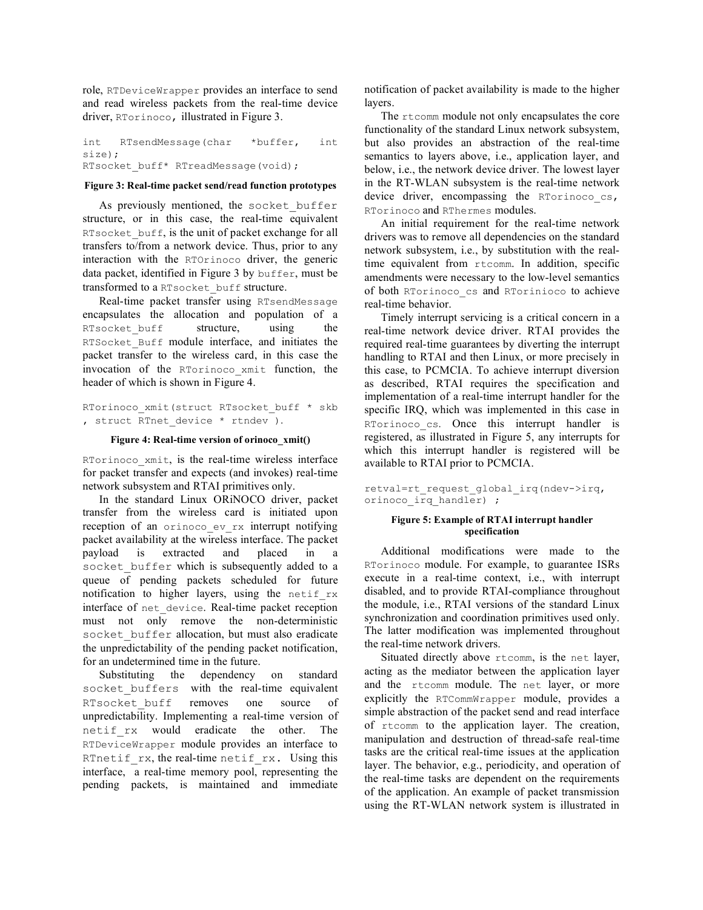role, RTDeviceWrapper provides an interface to send and read wireless packets from the real-time device driver, RTorinoco, illustrated in Figure 3.

int RTsendMessage(char \*buffer, int size); RTsocket buff\* RTreadMessage(void);

#### **Figure 3: Real-time packet send/read function prototypes**

As previously mentioned, the socket buffer structure, or in this case, the real-time equivalent RTsocket buff, is the unit of packet exchange for all transfers to/from a network device. Thus, prior to any interaction with the RTOrinoco driver, the generic data packet, identified in Figure 3 by buffer, must be transformed to a RTsocket\_buff structure.

Real-time packet transfer using RTsendMessage encapsulates the allocation and population of a RTsocket buff structure, using the RTSocket Buff module interface, and initiates the packet transfer to the wireless card, in this case the invocation of the RTorinoco\_xmit function, the header of which is shown in Figure 4.

RTorinoco\_xmit(struct RTsocket\_buff \* skb , struct RTnet device \* rtndev ).

#### **Figure 4: Real-time version of orinoco\_xmit()**

RTorinoco xmit, is the real-time wireless interface for packet transfer and expects (and invokes) real-time network subsystem and RTAI primitives only.

In the standard Linux ORiNOCO driver, packet transfer from the wireless card is initiated upon reception of an orinoco ev rx interrupt notifying packet availability at the wireless interface. The packet payload is extracted and placed in a socket buffer which is subsequently added to a queue of pending packets scheduled for future notification to higher layers, using the netif\_rx interface of net device. Real-time packet reception must not only remove the non-deterministic socket buffer allocation, but must also eradicate the unpredictability of the pending packet notification, for an undetermined time in the future.

Substituting the dependency on standard socket buffers with the real-time equivalent RTsocket buff removes one source of unpredictability. Implementing a real-time version of netif\_rx would eradicate the other. The RTDeviceWrapper module provides an interface to RTnetif rx, the real-time netif rx. Using this interface, a real-time memory pool, representing the pending packets, is maintained and immediate

notification of packet availability is made to the higher layers.

The rtcomm module not only encapsulates the core functionality of the standard Linux network subsystem, but also provides an abstraction of the real-time semantics to layers above, i.e., application layer, and below, i.e., the network device driver. The lowest layer in the RT-WLAN subsystem is the real-time network device driver, encompassing the RTorinoco cs, RTorinoco and RThermes modules.

An initial requirement for the real-time network drivers was to remove all dependencies on the standard network subsystem, i.e., by substitution with the realtime equivalent from rtcomm. In addition, specific amendments were necessary to the low-level semantics of both RTorinoco\_cs and RTorinioco to achieve real-time behavior.

Timely interrupt servicing is a critical concern in a real-time network device driver. RTAI provides the required real-time guarantees by diverting the interrupt handling to RTAI and then Linux, or more precisely in this case, to PCMCIA. To achieve interrupt diversion as described, RTAI requires the specification and implementation of a real-time interrupt handler for the specific IRQ, which was implemented in this case in RTorinoco cs. Once this interrupt handler is registered, as illustrated in Figure 5, any interrupts for which this interrupt handler is registered will be available to RTAI prior to PCMCIA.

retval=rt\_request\_global\_irq(ndev->irq, orinoco\_irq\_handler) ;

#### **Figure 5: Example of RTAI interrupt handler specification**

Additional modifications were made to the RTorinoco module. For example, to guarantee ISRs execute in a real-time context, i.e., with interrupt disabled, and to provide RTAI-compliance throughout the module, i.e., RTAI versions of the standard Linux synchronization and coordination primitives used only. The latter modification was implemented throughout the real-time network drivers.

Situated directly above rtcomm, is the net layer, acting as the mediator between the application layer and the rtcomm module. The net layer, or more explicitly the RTCommWrapper module, provides a simple abstraction of the packet send and read interface of rtcomm to the application layer. The creation, manipulation and destruction of thread-safe real-time tasks are the critical real-time issues at the application layer. The behavior, e.g., periodicity, and operation of the real-time tasks are dependent on the requirements of the application. An example of packet transmission using the RT-WLAN network system is illustrated in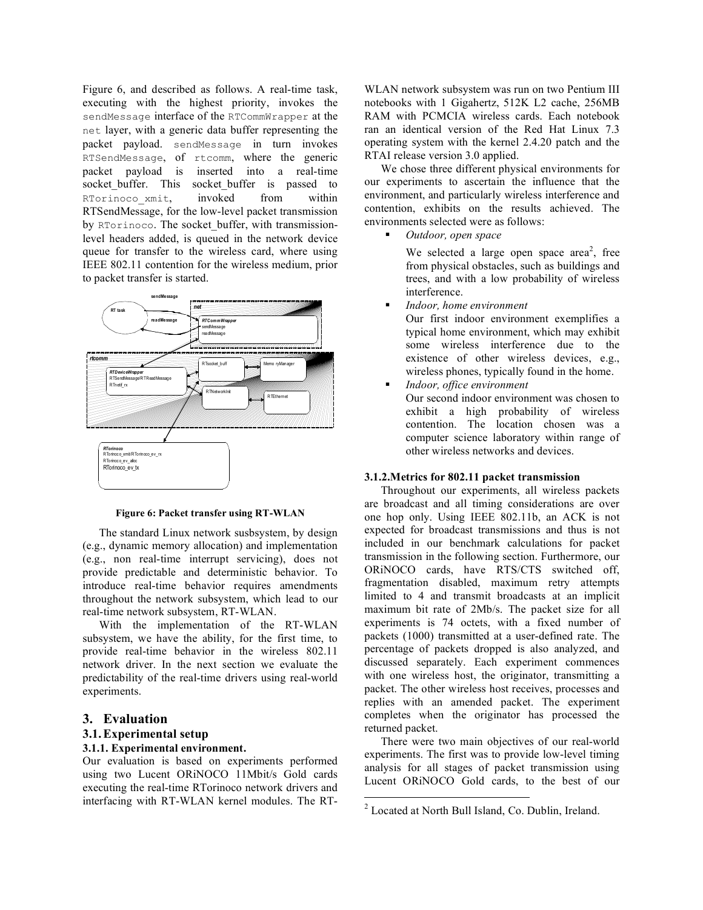Figure 6, and described as follows. A real-time task, executing with the highest priority, invokes the sendMessage interface of the RTCommWrapper at the net layer, with a generic data buffer representing the packet payload. sendMessage in turn invokes RTSendMessage, of rtcomm, where the generic packet payload is inserted into a real-time socket buffer. This socket buffer is passed to RTorinoco xmit, invoked from within RTSendMessage, for the low-level packet transmission by RTorinoco. The socket buffer, with transmissionlevel headers added, is queued in the network device queue for transfer to the wireless card, where using IEEE 802.11 contention for the wireless medium, prior to packet transfer is started.



**Figure 6: Packet transfer using RT-WLAN**

The standard Linux network susbsystem, by design (e.g., dynamic memory allocation) and implementation (e.g., non real-time interrupt servicing), does not provide predictable and deterministic behavior. To introduce real-time behavior requires amendments throughout the network subsystem, which lead to our real-time network subsystem, RT-WLAN.

With the implementation of the RT-WLAN subsystem, we have the ability, for the first time, to provide real-time behavior in the wireless 802.11 network driver. In the next section we evaluate the predictability of the real-time drivers using real-world experiments.

#### **3. Evaluation**

#### **3.1.Experimental setup**

#### **3.1.1. Experimental environment.**

Our evaluation is based on experiments performed using two Lucent ORiNOCO 11Mbit/s Gold cards executing the real-time RTorinoco network drivers and interfacing with RT-WLAN kernel modules. The RT-

WLAN network subsystem was run on two Pentium III notebooks with 1 Gigahertz, 512K L2 cache, 256MB RAM with PCMCIA wireless cards. Each notebook ran an identical version of the Red Hat Linux 7.3 operating system with the kernel 2.4.20 patch and the RTAI release version 3.0 applied.

We chose three different physical environments for our experiments to ascertain the influence that the environment, and particularly wireless interference and contention, exhibits on the results achieved. The environments selected were as follows:

*Outdoor, open space*

We selected a large open space area<sup>2</sup>, free from physical obstacles, such as buildings and trees, and with a low probability of wireless interference.

*Indoor, home environment*

Our first indoor environment exemplifies a typical home environment, which may exhibit some wireless interference due to the existence of other wireless devices, e.g., wireless phones, typically found in the home.

 *Indoor, office environment* Our second indoor environment was chosen to exhibit a high probability of wireless contention. The location chosen was a computer science laboratory within range of other wireless networks and devices.

#### **3.1.2.Metrics for 802.11 packet transmission**

Throughout our experiments, all wireless packets are broadcast and all timing considerations are over one hop only. Using IEEE 802.11b, an ACK is not expected for broadcast transmissions and thus is not included in our benchmark calculations for packet transmission in the following section. Furthermore, our ORiNOCO cards, have RTS/CTS switched off, fragmentation disabled, maximum retry attempts limited to 4 and transmit broadcasts at an implicit maximum bit rate of 2Mb/s. The packet size for all experiments is 74 octets, with a fixed number of packets (1000) transmitted at a user-defined rate. The percentage of packets dropped is also analyzed, and discussed separately. Each experiment commences with one wireless host, the originator, transmitting a packet. The other wireless host receives, processes and replies with an amended packet. The experiment completes when the originator has processed the returned packet.

There were two main objectives of our real-world experiments. The first was to provide low-level timing analysis for all stages of packet transmission using Lucent ORiNOCO Gold cards, to the best of our

 <sup>2</sup> Located at North Bull Island, Co. Dublin, Ireland.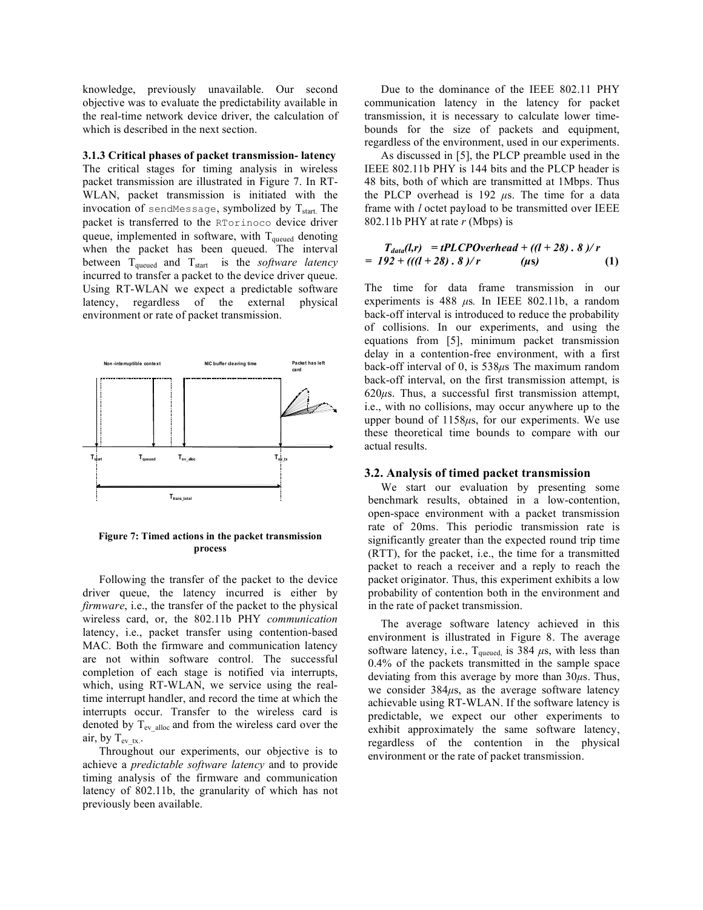knowledge, previously unavailable. Our second objective was to evaluate the predictability available in the real-time network device driver, the calculation of which is described in the next section.

## **3.1.3 Critical phases of packet transmission- latency**

The critical stages for timing analysis in wireless packet transmission are illustrated in Figure 7. In RT-WLAN, packet transmission is initiated with the invocation of sendMessage, symbolized by  $T_{start}$ . The packet is transferred to the RTorinoco device driver queue, implemented in software, with  $T_{quued}$  denoting when the packet has been queued. The interval between T<sub>queued</sub> and T<sub>start</sub> is the *software latency* incurred to transfer a packet to the device driver queue. Using RT-WLAN we expect a predictable software latency, regardless of the external physical environment or rate of packet transmission.



**Figure 7: Timed actions in the packet transmission process**

Following the transfer of the packet to the device driver queue, the latency incurred is either by *firmware*, i.e., the transfer of the packet to the physical wireless card, or, the 802.11b PHY *communication* latency, i.e., packet transfer using contention-based MAC. Both the firmware and communication latency are not within software control. The successful completion of each stage is notified via interrupts, which, using RT-WLAN, we service using the realtime interrupt handler, and record the time at which the interrupts occur. Transfer to the wireless card is denoted by  $T_{ev\$  alloc and from the wireless card over the air, by  $T_{evtx.}$ .

Throughout our experiments, our objective is to achieve a *predictable software latency* and to provide timing analysis of the firmware and communication latency of 802.11b, the granularity of which has not previously been available.

Due to the dominance of the IEEE 802.11 PHY communication latency in the latency for packet transmission, it is necessary to calculate lower timebounds for the size of packets and equipment, regardless of the environment, used in our experiments.

As discussed in [5], the PLCP preamble used in the IEEE 802.11b PHY is 144 bits and the PLCP header is 48 bits, both of which are transmitted at 1Mbps. Thus the PLCP overhead is  $192 \mu s$ . The time for a data frame with *l* octet payload to be transmitted over IEEE 802.11b PHY at rate *r* (Mbps) is

$$
T_{data}(l,r) = tPLCPOverhead + ((l+28).8)/r
$$
  
= 192 + (((l+28).8)/r (µs) (1)

The time for data frame transmission in our experiments is 488  $\mu$ s. In IEEE 802.11b, a random back-off interval is introduced to reduce the probability of collisions. In our experiments, and using the equations from [5], minimum packet transmission delay in a contention-free environment, with a first back-off interval of 0, is 538*µ*s The maximum random back-off interval, on the first transmission attempt, is 620*µ*s. Thus, a successful first transmission attempt, i.e., with no collisions, may occur anywhere up to the upper bound of 1158*µ*s, for our experiments. We use these theoretical time bounds to compare with our actual results.

## **3.2. Analysis of timed packet transmission**

We start our evaluation by presenting some benchmark results, obtained in a low-contention, open-space environment with a packet transmission rate of 20ms. This periodic transmission rate is significantly greater than the expected round trip time (RTT), for the packet, i.e., the time for a transmitted packet to reach a receiver and a reply to reach the packet originator. Thus, this experiment exhibits a low probability of contention both in the environment and in the rate of packet transmission.

The average software latency achieved in this environment is illustrated in Figure 8. The average software latency, i.e.,  $T_{quued}$  is 384  $\mu$ s, with less than 0.4% of the packets transmitted in the sample space deviating from this average by more than 30*µ*s. Thus, we consider 384*µ*s, as the average software latency achievable using RT-WLAN. If the software latency is predictable, we expect our other experiments to exhibit approximately the same software latency, regardless of the contention in the physical environment or the rate of packet transmission.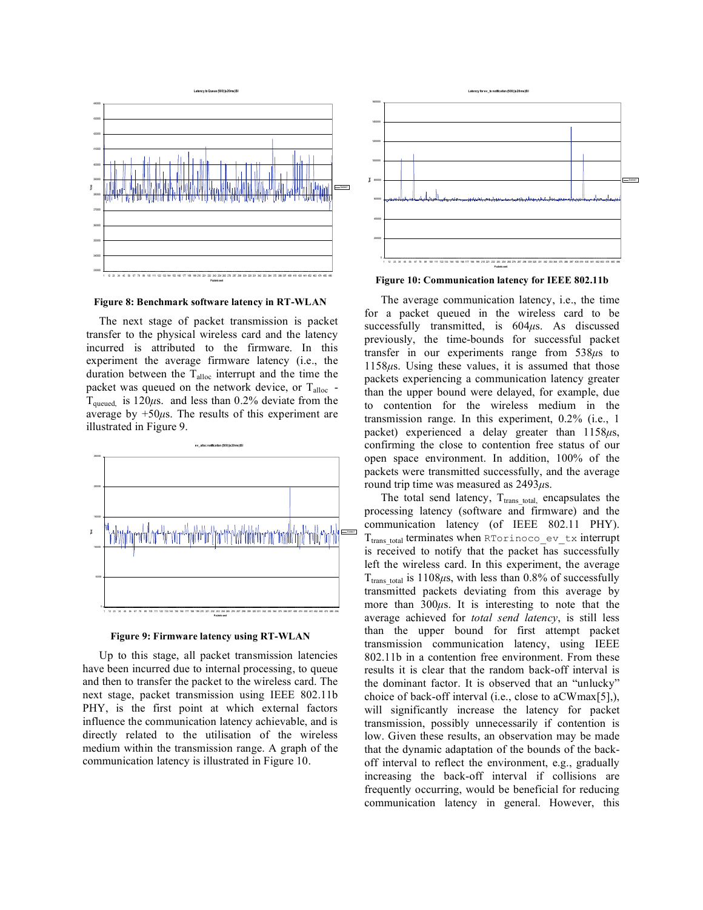

**Figure 8: Benchmark software latency in RT-WLAN**

The next stage of packet transmission is packet transfer to the physical wireless card and the latency incurred is attributed to the firmware. In this experiment the average firmware latency (i.e., the duration between the  $T_{\text{alloc}}$  interrupt and the time the packet was queued on the network device, or Talloc -  $T_{quued.}$  is 120 $\mu$ s. and less than 0.2% deviate from the average by  $+50\mu s$ . The results of this experiment are illustrated in Figure 9.





Up to this stage, all packet transmission latencies have been incurred due to internal processing, to queue and then to transfer the packet to the wireless card. The next stage, packet transmission using IEEE 802.11b PHY, is the first point at which external factors influence the communication latency achievable, and is directly related to the utilisation of the wireless medium within the transmission range. A graph of the communication latency is illustrated in Figure 10.



**Figure 10: Communication latency for IEEE 802.11b**

The average communication latency, i.e., the time for a packet queued in the wireless card to be successfully transmitted, is 604*µ*s. As discussed previously, the time-bounds for successful packet transfer in our experiments range from 538*µ*s to 1158*µ*s. Using these values, it is assumed that those packets experiencing a communication latency greater than the upper bound were delayed, for example, due to contention for the wireless medium in the transmission range. In this experiment, 0.2% (i.e., 1 packet) experienced a delay greater than 1158*µ*s, confirming the close to contention free status of our open space environment. In addition, 100% of the packets were transmitted successfully, and the average round trip time was measured as 2493*µ*s.

The total send latency,  $T_{trans\_total}$ , encapsulates the processing latency (software and firmware) and the communication latency (of IEEE 802.11 PHY).  $T_{trans\ total}$  terminates when RTorinoco ev tx interrupt is received to notify that the packet has successfully left the wireless card. In this experiment, the average  $T_{trans\ total}$  is 1108 $\mu$ s, with less than 0.8% of successfully transmitted packets deviating from this average by more than 300*µ*s. It is interesting to note that the average achieved for *total send latency*, is still less than the upper bound for first attempt packet transmission communication latency, using IEEE 802.11b in a contention free environment. From these results it is clear that the random back-off interval is the dominant factor. It is observed that an "unlucky" choice of back-off interval (i.e., close to aCWmax[5],), will significantly increase the latency for packet transmission, possibly unnecessarily if contention is low. Given these results, an observation may be made that the dynamic adaptation of the bounds of the backoff interval to reflect the environment, e.g., gradually increasing the back-off interval if collisions are frequently occurring, would be beneficial for reducing communication latency in general. However, this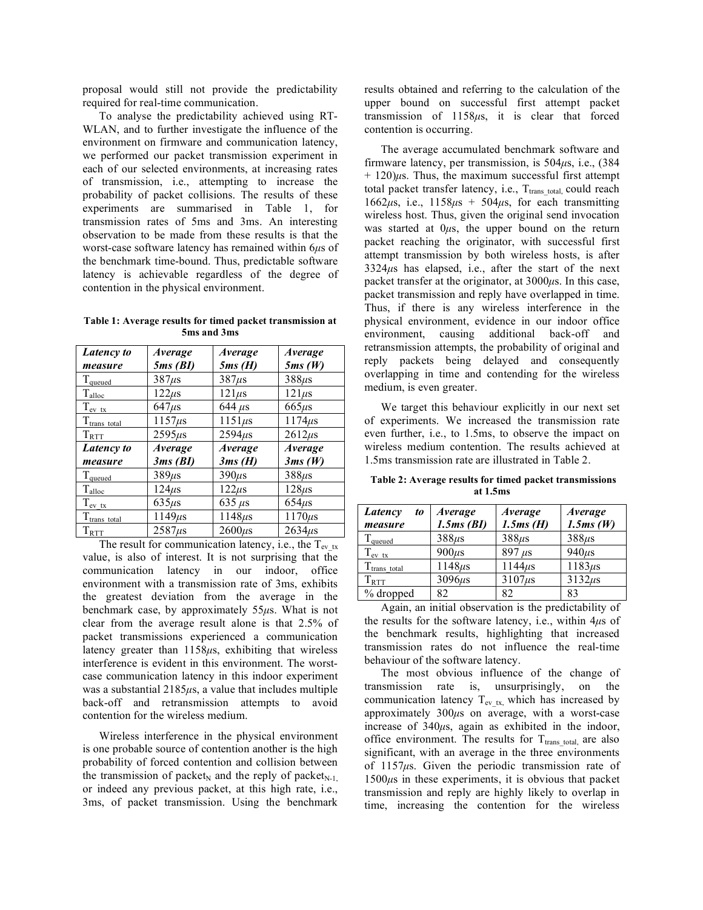proposal would still not provide the predictability required for real-time communication.

To analyse the predictability achieved using RT-WLAN, and to further investigate the influence of the environment on firmware and communication latency, we performed our packet transmission experiment in each of our selected environments, at increasing rates of transmission, i.e., attempting to increase the probability of packet collisions. The results of these experiments are summarised in Table 1, for transmission rates of 5ms and 3ms. An interesting observation to be made from these results is that the worst-case software latency has remained within 6*µ*s of the benchmark time-bound. Thus, predictable software latency is achievable regardless of the degree of contention in the physical environment.

**Table 1: Average results for timed packet transmission at 5ms and 3ms**

| Latency to         | Average        | Average        | Average        |
|--------------------|----------------|----------------|----------------|
| measure            | 5ms(BI)        | 5ms(H)         | 5ms(W)         |
| $T_{quued}$        | $387\mu s$     | $387\mu s$     | $388\mu s$     |
| $T_{\text{alloc}}$ | $122\mu s$     | $121\mu s$     | $121\mu s$     |
| $T_{\rm ev~tx}$    | $647\mu s$     | 644 $\mu$ s    | $665\mu s$     |
| $T_{trans\_total}$ | $1157\mu s$    | $1151\mu s$    | $1174\mu s$    |
| $T_{\rm RTT}$      | $2595\mu s$    | $2594\mu s$    | $2612\mu s$    |
| Latency to         | <b>Average</b> | <b>Average</b> | <b>Average</b> |
| measure            | 3ms(BI)        | 3ms(H)         | 3ms(W)         |
| $T_{quued}$        | $389\mu s$     | $390\mu s$     | $388\mu s$     |
| $T_{\text{alloc}}$ | $124\mu s$     | $122\mu s$     | $128\mu s$     |
| $T_{\rm ev\_tx}$   | $635\mu s$     | 635 $\mu$ s    | $654\mu s$     |
| $T_{trans\_total}$ | $1149\mu s$    | $1148\mu s$    | $1170\mu s$    |
| $T_{\rm RTT}$      | $2587\mu s$    | $2600\mu s$    | $2634\mu s$    |

The result for communication latency, i.e., the  $T_{ev-x}$ value, is also of interest. It is not surprising that the communication latency in our indoor, office environment with a transmission rate of 3ms, exhibits the greatest deviation from the average in the benchmark case, by approximately 55*µ*s. What is not clear from the average result alone is that 2.5% of packet transmissions experienced a communication latency greater than 1158*µ*s, exhibiting that wireless interference is evident in this environment. The worstcase communication latency in this indoor experiment was a substantial 2185*µ*s, a value that includes multiple back-off and retransmission attempts to avoid contention for the wireless medium.

Wireless interference in the physical environment is one probable source of contention another is the high probability of forced contention and collision between the transmission of packet<sub>N</sub> and the reply of packet<sub>N-1</sub>. or indeed any previous packet, at this high rate, i.e., 3ms, of packet transmission. Using the benchmark

results obtained and referring to the calculation of the upper bound on successful first attempt packet transmission of 1158*µ*s, it is clear that forced contention is occurring.

The average accumulated benchmark software and firmware latency, per transmission, is 504*µ*s, i.e., (384  $+ 120$ ) $\mu$ s. Thus, the maximum successful first attempt total packet transfer latency, i.e.,  $T_{trans\_total}$  could reach 1662 $\mu$ s, i.e., 1158 $\mu$ s + 504 $\mu$ s, for each transmitting wireless host. Thus, given the original send invocation was started at 0*µ*s, the upper bound on the return packet reaching the originator, with successful first attempt transmission by both wireless hosts, is after 3324*µ*s has elapsed, i.e., after the start of the next packet transfer at the originator, at 3000*µ*s. In this case, packet transmission and reply have overlapped in time. Thus, if there is any wireless interference in the physical environment, evidence in our indoor office environment, causing additional back-off and retransmission attempts, the probability of original and reply packets being delayed and consequently overlapping in time and contending for the wireless medium, is even greater.

We target this behaviour explicitly in our next set of experiments. We increased the transmission rate even further, i.e., to 1.5ms, to observe the impact on wireless medium contention. The results achieved at 1.5ms transmission rate are illustrated in Table 2.

**Table 2: Average results for timed packet transmissions at 1.5ms**

| Latency<br>to      | <i><b>Average</b></i> | <i>Average</i> | <b>Average</b> |
|--------------------|-----------------------|----------------|----------------|
| measure            | 1.5ms(BI)             | $1.5ms$ (H)    | 1.5ms(W)       |
| $T_{quued}$        | $388\mu s$            | $388\mu s$     | $388\mu s$     |
| $T_{ev,tx}$        | $900\mu s$            | $897 \mu s$    | $940\mu s$     |
| $T_{trans\_total}$ | $1148\mu s$           | $1144\mu s$    | $1183\mu s$    |
| $T_{\text{RTT}}$   | $3096\mu s$           | $3107\mu s$    | $3132\mu s$    |
| % dropped          | 82                    | 82             | 83             |

Again, an initial observation is the predictability of the results for the software latency, i.e., within 4*µ*s of the benchmark results, highlighting that increased transmission rates do not influence the real-time behaviour of the software latency.

The most obvious influence of the change of transmission rate is, unsurprisingly, on the communication latency  $T_{ev\,tx}$ , which has increased by approximately 300*µ*s on average, with a worst-case increase of 340*µ*s, again as exhibited in the indoor, office environment. The results for  $T_{trans\ total}$  are also significant, with an average in the three environments of 1157*µ*s. Given the periodic transmission rate of 1500*µ*s in these experiments, it is obvious that packet transmission and reply are highly likely to overlap in time, increasing the contention for the wireless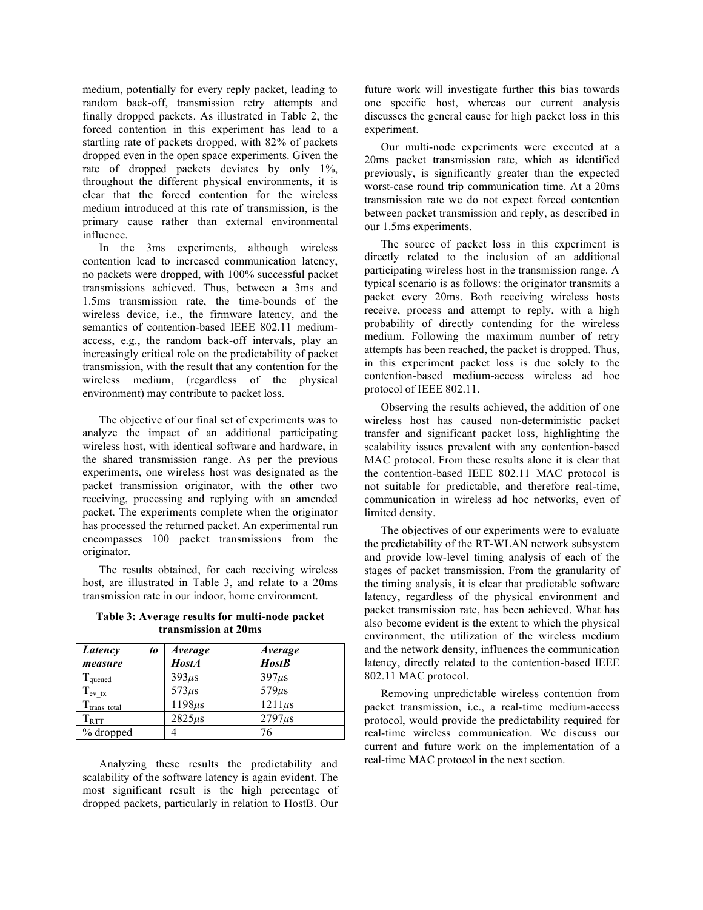medium, potentially for every reply packet, leading to random back-off, transmission retry attempts and finally dropped packets. As illustrated in Table 2, the forced contention in this experiment has lead to a startling rate of packets dropped, with 82% of packets dropped even in the open space experiments. Given the rate of dropped packets deviates by only 1%, throughout the different physical environments, it is clear that the forced contention for the wireless medium introduced at this rate of transmission, is the primary cause rather than external environmental influence.

In the 3ms experiments, although wireless contention lead to increased communication latency, no packets were dropped, with 100% successful packet transmissions achieved. Thus, between a 3ms and 1.5ms transmission rate, the time-bounds of the wireless device, i.e., the firmware latency, and the semantics of contention-based IEEE 802.11 mediumaccess, e.g., the random back-off intervals, play an increasingly critical role on the predictability of packet transmission, with the result that any contention for the wireless medium, (regardless of the physical environment) may contribute to packet loss.

The objective of our final set of experiments was to analyze the impact of an additional participating wireless host, with identical software and hardware, in the shared transmission range. As per the previous experiments, one wireless host was designated as the packet transmission originator, with the other two receiving, processing and replying with an amended packet. The experiments complete when the originator has processed the returned packet. An experimental run encompasses 100 packet transmissions from the originator.

The results obtained, for each receiving wireless host, are illustrated in Table 3, and relate to a 20ms transmission rate in our indoor, home environment.

**Table 3: Average results for multi-node packet transmission at 20ms**

| Latency<br>to            | Average      | <b>Average</b> |
|--------------------------|--------------|----------------|
| measure                  | <b>HostA</b> | <b>HostB</b>   |
| $\Gamma$ queued          | $393\mu s$   | $397\mu s$     |
| $T_{\rm ev\_tx}$         | $573\mu s$   | $579\mu s$     |
| T <sub>trans total</sub> | $1198\mu s$  | $1211\mu s$    |
| $T_{\rm RTT}$            | $2825\mu s$  | $2797\mu s$    |
| % dropped                |              |                |

Analyzing these results the predictability and scalability of the software latency is again evident. The most significant result is the high percentage of dropped packets, particularly in relation to HostB. Our

future work will investigate further this bias towards one specific host, whereas our current analysis discusses the general cause for high packet loss in this experiment.

Our multi-node experiments were executed at a 20ms packet transmission rate, which as identified previously, is significantly greater than the expected worst-case round trip communication time. At a 20ms transmission rate we do not expect forced contention between packet transmission and reply, as described in our 1.5ms experiments.

The source of packet loss in this experiment is directly related to the inclusion of an additional participating wireless host in the transmission range. A typical scenario is as follows: the originator transmits a packet every 20ms. Both receiving wireless hosts receive, process and attempt to reply, with a high probability of directly contending for the wireless medium. Following the maximum number of retry attempts has been reached, the packet is dropped. Thus, in this experiment packet loss is due solely to the contention-based medium-access wireless ad hoc protocol of IEEE 802.11.

Observing the results achieved, the addition of one wireless host has caused non-deterministic packet transfer and significant packet loss, highlighting the scalability issues prevalent with any contention-based MAC protocol. From these results alone it is clear that the contention-based IEEE 802.11 MAC protocol is not suitable for predictable, and therefore real-time, communication in wireless ad hoc networks, even of limited density.

The objectives of our experiments were to evaluate the predictability of the RT-WLAN network subsystem and provide low-level timing analysis of each of the stages of packet transmission. From the granularity of the timing analysis, it is clear that predictable software latency, regardless of the physical environment and packet transmission rate, has been achieved. What has also become evident is the extent to which the physical environment, the utilization of the wireless medium and the network density, influences the communication latency, directly related to the contention-based IEEE 802.11 MAC protocol.

Removing unpredictable wireless contention from packet transmission, i.e., a real-time medium-access protocol, would provide the predictability required for real-time wireless communication. We discuss our current and future work on the implementation of a real-time MAC protocol in the next section.